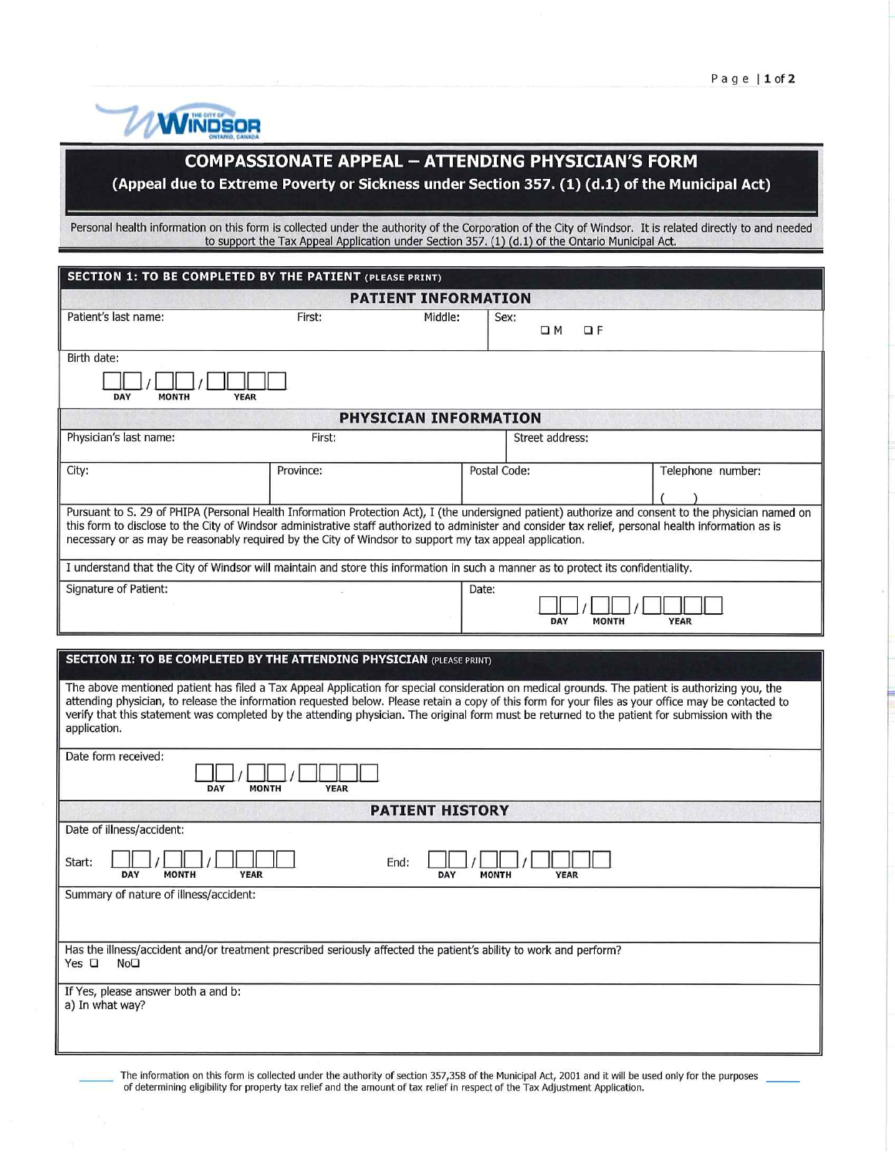

## COMPASSIONATE APPEAL - ATTENDING PHYSICIAN'S FORM

(Appeal due to Extreme Poverty or Sickness under Section 357. (1) (d.l) of the Municipal Act)

Personal health information on this form is collected under the authority of the Corporation of the City of Windsor. It is related directly to and neede to support the Tax Appeal Application under Section 357. (1) (d.1) of the Ontario Municipal Ac

| SECTION 1: TO BE COMPLETED BY THE PATIENT (PLEASE PRINT)                                                                                                                                                                                                                                                                                                                                                                                                                   |           |         |                     |                             |  |  |  |  |
|----------------------------------------------------------------------------------------------------------------------------------------------------------------------------------------------------------------------------------------------------------------------------------------------------------------------------------------------------------------------------------------------------------------------------------------------------------------------------|-----------|---------|---------------------|-----------------------------|--|--|--|--|
| <b>PATIENT INFORMATION</b>                                                                                                                                                                                                                                                                                                                                                                                                                                                 |           |         |                     |                             |  |  |  |  |
| Patient's last name:                                                                                                                                                                                                                                                                                                                                                                                                                                                       | First:    | Middle: | Sex:<br>$\square$ M | $\Box F$                    |  |  |  |  |
| Birth date:<br>DAY<br><b>MONTH</b><br><b>YEAR</b>                                                                                                                                                                                                                                                                                                                                                                                                                          |           |         |                     |                             |  |  |  |  |
| <b>PHYSICIAN INFORMATION</b>                                                                                                                                                                                                                                                                                                                                                                                                                                               |           |         |                     |                             |  |  |  |  |
| Physician's last name:                                                                                                                                                                                                                                                                                                                                                                                                                                                     | First:    |         | Street address:     |                             |  |  |  |  |
| City:                                                                                                                                                                                                                                                                                                                                                                                                                                                                      | Province: |         | Postal Code:        | Telephone number:           |  |  |  |  |
| Pursuant to S. 29 of PHIPA (Personal Health Information Protection Act), I (the undersigned patient) authorize and consent to the physician named on<br>this form to disclose to the City of Windsor administrative staff authorized to administer and consider tax relief, personal health information as is<br>necessary or as may be reasonably required by the City of Windsor to support my tax appeal application.                                                   |           |         |                     |                             |  |  |  |  |
| I understand that the City of Windsor will maintain and store this information in such a manner as to protect its confidentiality.                                                                                                                                                                                                                                                                                                                                         |           |         |                     |                             |  |  |  |  |
| Signature of Patient:                                                                                                                                                                                                                                                                                                                                                                                                                                                      |           | Date:   | DAY                 | <b>YEAR</b><br><b>MONTH</b> |  |  |  |  |
|                                                                                                                                                                                                                                                                                                                                                                                                                                                                            |           |         |                     |                             |  |  |  |  |
| <b>SECTION II: TO BE COMPLETED BY THE ATTENDING PHYSICIAN (PLEASE PRINT)</b>                                                                                                                                                                                                                                                                                                                                                                                               |           |         |                     |                             |  |  |  |  |
| The above mentioned patient has filed a Tax Appeal Application for special consideration on medical grounds. The patient is authorizing you, the<br>attending physician, to release the information requested below. Please retain a copy of this form for your files as your office may be contacted to<br>verify that this statement was completed by the attending physician. The original form must be returned to the patient for submission with the<br>application. |           |         |                     |                             |  |  |  |  |
| Date form received:<br><b>MONTH</b><br>DAY<br><b>YEAR</b>                                                                                                                                                                                                                                                                                                                                                                                                                  |           |         |                     |                             |  |  |  |  |
| <b>PATIENT HISTORY</b>                                                                                                                                                                                                                                                                                                                                                                                                                                                     |           |         |                     |                             |  |  |  |  |
| Date of illness/accident:                                                                                                                                                                                                                                                                                                                                                                                                                                                  |           |         |                     |                             |  |  |  |  |
| Start:<br>End:<br><b>MONTH</b><br><b>YEAR</b><br><b>DAY</b><br>DAY<br><b>MONTH</b><br><b>YEAR</b>                                                                                                                                                                                                                                                                                                                                                                          |           |         |                     |                             |  |  |  |  |
| Summary of nature of illness/accident:                                                                                                                                                                                                                                                                                                                                                                                                                                     |           |         |                     |                             |  |  |  |  |
|                                                                                                                                                                                                                                                                                                                                                                                                                                                                            |           |         |                     |                             |  |  |  |  |
| Has the illness/accident and/or treatment prescribed seriously affected the patient's ability to work and perform?<br>Yes $\Box$<br>NoD                                                                                                                                                                                                                                                                                                                                    |           |         |                     |                             |  |  |  |  |
| If Yes, please answer both a and b:<br>a) In what way?                                                                                                                                                                                                                                                                                                                                                                                                                     |           |         |                     |                             |  |  |  |  |
|                                                                                                                                                                                                                                                                                                                                                                                                                                                                            |           |         |                     |                             |  |  |  |  |

The information on this form is collected under the authority of section 357,358 of the Municipal Act, 2001 and it will be used only for the purposes of determining eligibility for property tax relief and the amount of tax relief in respect of the Tax Adjustment Application.